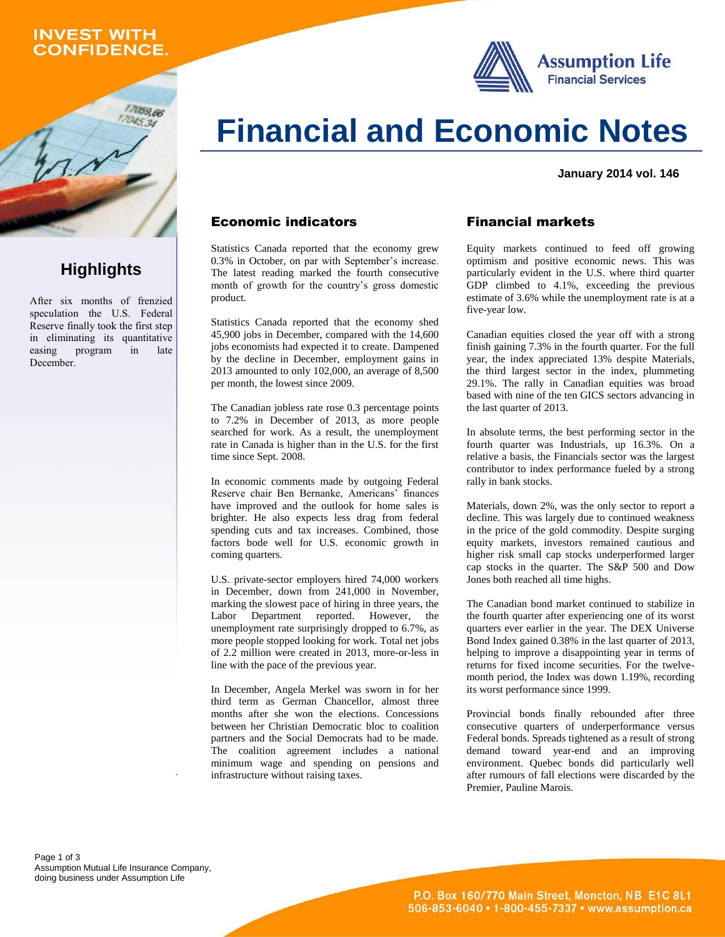## **INVEST WITH CONFIDENCE.**





## **Highlights**

After six months of frenzied speculation the U.S. Federal Reserve finally took the first step in eliminating its quantitative easing program in late December.

# **Financial and Economic Notes**

**January 2014 vol. 146**

### Economic indicators

Statistics Canada reported that the economy grew 0.3% in October, on par with September's increase. The latest reading marked the fourth consecutive month of growth for the country's gross domestic product.

Statistics Canada reported that the economy shed 45,900 jobs in December, compared with the 14,600 jobs economists had expected it to create. Dampened by the decline in December, employment gains in 2013 amounted to only 102,000, an average of 8,500 per month, the lowest since 2009.

The Canadian jobless rate rose 0.3 percentage points to 7.2% in December of 2013, as more people searched for work. As a result, the unemployment rate in Canada is higher than in the U.S. for the first time since Sept. 2008.

In economic comments made by outgoing Federal Reserve chair Ben Bernanke, Americans' finances have improved and the outlook for home sales is brighter. He also expects less drag from federal spending cuts and tax increases. Combined, those factors bode well for U.S. economic growth in coming quarters.

U.S. private-sector employers hired 74,000 workers in December, down from 241,000 in November, marking the slowest pace of hiring in three years, the Labor Department reported. However, the unemployment rate surprisingly dropped to 6.7%, as more people stopped looking for work. Total net jobs of 2.2 million were created in 2013, more-or-less in line with the pace of the previous year.

In December, Angela Merkel was sworn in for her third term as German Chancellor, almost three months after she won the elections. Concessions between her Christian Democratic bloc to coalition partners and the Social Democrats had to be made. The coalition agreement includes a national minimum wage and spending on pensions and infrastructure without raising taxes.

#### Financial markets

Equity markets continued to feed off growing optimism and positive economic news. This was particularly evident in the U.S. where third quarter GDP climbed to 4.1%, exceeding the previous estimate of 3.6% while the unemployment rate is at a five-year low.

Canadian equities closed the year off with a strong finish gaining 7.3% in the fourth quarter. For the full year, the index appreciated 13% despite Materials, the third largest sector in the index, plummeting 29.1%. The rally in Canadian equities was broad based with nine of the ten GICS sectors advancing in the last quarter of 2013.

In absolute terms, the best performing sector in the fourth quarter was Industrials, up 16.3%. On a relative a basis, the Financials sector was the largest contributor to index performance fueled by a strong rally in bank stocks.

Materials, down 2%, was the only sector to report a decline. This was largely due to continued weakness in the price of the gold commodity. Despite surging equity markets, investors remained cautious and higher risk small cap stocks underperformed larger cap stocks in the quarter. The S&P 500 and Dow Jones both reached all time highs.

The Canadian bond market continued to stabilize in the fourth quarter after experiencing one of its worst quarters ever earlier in the year. The DEX Universe Bond Index gained 0.38% in the last quarter of 2013, helping to improve a disappointing year in terms of returns for fixed income securities. For the twelvemonth period, the Index was down 1.19%, recording its worst performance since 1999.

Provincial bonds finally rebounded after three consecutive quarters of underperformance versus Federal bonds. Spreads tightened as a result of strong demand toward year-end and an improving environment. Quebec bonds did particularly well after rumours of fall elections were discarded by the Premier, Pauline Marois.

Page 1 of 3 Assumption Mutual Life Insurance Company, doing business under Assumption Life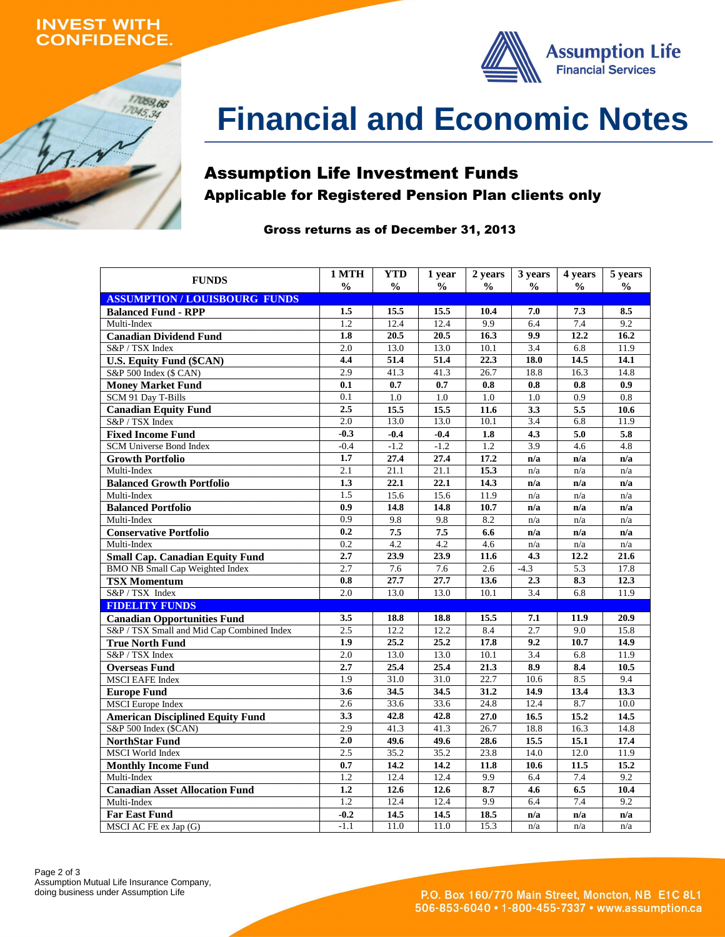### **INVEST WITH ONFIDENCE.**





# **Financial and Economic Notes**

## Assumption Life Investment Funds Applicable for Registered Pension Plan clients only

#### Gross returns as of December 31, 2013

| <b>FUNDS</b>                               | 1 MTH            | <b>YTD</b>    | 1 year        | 2 years       | 3 years          | 4 years       | 5 years       |
|--------------------------------------------|------------------|---------------|---------------|---------------|------------------|---------------|---------------|
|                                            | $\frac{0}{0}$    | $\frac{0}{0}$ | $\frac{0}{0}$ | $\frac{0}{0}$ | $\frac{0}{0}$    | $\frac{0}{0}$ | $\frac{0}{0}$ |
| <b>ASSUMPTION/LOUISBOURG FUNDS</b>         |                  |               |               |               |                  |               |               |
| <b>Balanced Fund - RPP</b>                 | 1.5              | 15.5          | 15.5          | 10.4          | 7.0              | 7.3           | 8.5           |
| Multi-Index                                | 1.2              | 12.4          | 12.4          | 9.9           | 6.4              | 7.4           | 9.2           |
| <b>Canadian Dividend Fund</b>              | 1.8              | 20.5          | 20.5          | 16.3          | 9.9              | 12.2          | 16.2          |
| S&P / TSX Index                            | 2.0              | 13.0          | 13.0          | 10.1          | 3.4              | 6.8           | 11.9          |
| <b>U.S. Equity Fund (\$CAN)</b>            | 4.4              | 51.4          | 51.4          | 22.3          | 18.0             | 14.5          | 14.1          |
| S&P 500 Index (\$ CAN)                     | 2.9              | 41.3          | 41.3          | 26.7          | 18.8             | 16.3          | 14.8          |
| <b>Money Market Fund</b>                   | 0.1              | 0.7           | 0.7           | 0.8           | 0.8              | 0.8           | 0.9           |
| SCM 91 Day T-Bills                         | $\overline{0.1}$ | 1.0           | 1.0           | 1.0           | 1.0              | 0.9           | 0.8           |
| <b>Canadian Equity Fund</b>                | 2.5              | 15.5          | 15.5          | 11.6          | 3.3              | 5.5           | 10.6          |
| S&P / TSX Index                            | 2.0              | 13.0          | 13.0          | 10.1          | 3.4              | 6.8           | 11.9          |
| <b>Fixed Income Fund</b>                   | $-0.3$           | $-0.4$        | $-0.4$        | 1.8           | 4.3              | 5.0           | 5.8           |
| <b>SCM Universe Bond Index</b>             | $-0.4$           | $-1.2$        | $-1.2$        | 1.2           | 3.9              | 4.6           | 4.8           |
| <b>Growth Portfolio</b>                    | 1.7              | 27.4          | 27.4          | 17.2          | n/a              | n/a           | n/a           |
| Multi-Index                                | 2.1              | 21.1          | 21.1          | 15.3          | n/a              | n/a           | n/a           |
| <b>Balanced Growth Portfolio</b>           | 1.3              | 22.1          | 22.1          | 14.3          | n/a              | n/a           | n/a           |
| Multi-Index                                | 1.5              | 15.6          | 15.6          | 11.9          | n/a              | n/a           | n/a           |
| <b>Balanced Portfolio</b>                  | 0.9              | 14.8          | 14.8          | 10.7          | n/a              | n/a           | n/a           |
| Multi-Index                                | 0.9              | 9.8           | 9.8           | 8.2           | n/a              | n/a           | n/a           |
| <b>Conservative Portfolio</b>              | 0.2              | 7.5           | 7.5           | 6.6           | n/a              | n/a           | n/a           |
| Multi-Index                                | 0.2              | 4.2           | 4.2           | 4.6           | n/a              | n/a           | n/a           |
| <b>Small Cap. Canadian Equity Fund</b>     | 2.7              | 23.9          | 23.9          | 11.6          | 4.3              | 12.2          | 21.6          |
| <b>BMO NB Small Cap Weighted Index</b>     | 2.7              | 7.6           | 7.6           | 2.6           | $-4.3$           | 5.3           | 17.8          |
| <b>TSX Momentum</b>                        | 0.8              | 27.7          | 27.7          | 13.6          | 2.3              | 8.3           | 12.3          |
| S&P / TSX Index                            | 2.0              | 13.0          | 13.0          | 10.1          | 3.4              | 6.8           | 11.9          |
| <b>FIDELITY FUNDS</b>                      |                  |               |               |               |                  |               |               |
| <b>Canadian Opportunities Fund</b>         | 3.5              | 18.8          | 18.8          | 15.5          | 7.1              | 11.9          | 20.9          |
| S&P / TSX Small and Mid Cap Combined Index | 2.5              | 12.2          | 12.2          | 8.4           | 2.7              | 9.0           | 15.8          |
| <b>True North Fund</b>                     | 1.9              | 25.2          | 25.2          | 17.8          | 9.2              | 10.7          | 14.9          |
| S&P / TSX Index                            | 2.0              | 13.0          | 13.0          | 10.1          | $\overline{3.4}$ | 6.8           | 11.9          |
| <b>Overseas Fund</b>                       | 2.7              | 25.4          | 25.4          | 21.3          | 8.9              | 8.4           | 10.5          |
| <b>MSCI EAFE Index</b>                     | 1.9              | 31.0          | 31.0          | 22.7          | 10.6             | 8.5           | 9.4           |
| <b>Europe Fund</b>                         | 3.6              | 34.5          | 34.5          | 31.2          | 14.9             | 13.4          | 13.3          |
| <b>MSCI</b> Europe Index                   | 2.6              | 33.6          | 33.6          | 24.8          | 12.4             | 8.7           | 10.0          |
| <b>American Disciplined Equity Fund</b>    | 3.3              | 42.8          | 42.8          | 27.0          | 16.5             | 15.2          | 14.5          |
| S&P 500 Index (\$CAN)                      | 2.9              | 41.3          | 41.3          | 26.7          | 18.8             | 16.3          | 14.8          |
| <b>NorthStar Fund</b>                      | 2.0              | 49.6          | 49.6          | 28.6          | 15.5             | 15.1          | 17.4          |
| <b>MSCI</b> World Index                    | 2.5              | 35.2          | 35.2          | 23.8          | 14.0             | 12.0          | 11.9          |
| <b>Monthly Income Fund</b>                 | 0.7              | 14.2          | 14.2          | 11.8          | 10.6             | 11.5          | 15.2          |
| Multi-Index                                | 1.2              | 12.4          | 12.4          | 9.9           | 6.4              | 7.4           | 9.2           |
| <b>Canadian Asset Allocation Fund</b>      | 1.2              | 12.6          | 12.6          | 8.7           | 4.6              | 6.5           | 10.4          |
| Multi-Index                                | 1.2              | 12.4          | 12.4          | 9.9           | 6.4              | 7.4           | 9.2           |
| <b>Far East Fund</b>                       | $-0.2$           | 14.5          | 14.5          | 18.5          | n/a              | n/a           | n/a           |
| MSCI AC FE ex Jap (G)                      | $-1.1$           | 11.0          | 11.0          | 15.3          | n/a              | n/a           | n/a           |